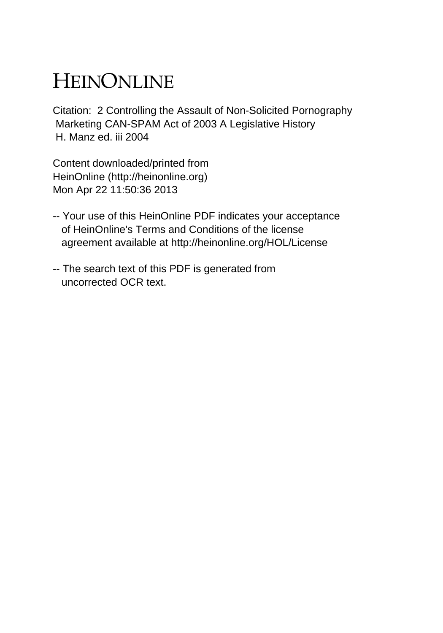# HEINONLINE

Citation: 2 Controlling the Assault of Non-Solicited Pornography Marketing CAN-SPAM Act of 2003 A Legislative History H. Manz ed. iii 2004

Content downloaded/printed from HeinOnline (http://heinonline.org) Mon Apr 22 11:50:36 2013

- -- Your use of this HeinOnline PDF indicates your acceptance of HeinOnline's Terms and Conditions of the license agreement available at http://heinonline.org/HOL/License
- -- The search text of this PDF is generated from uncorrected OCR text.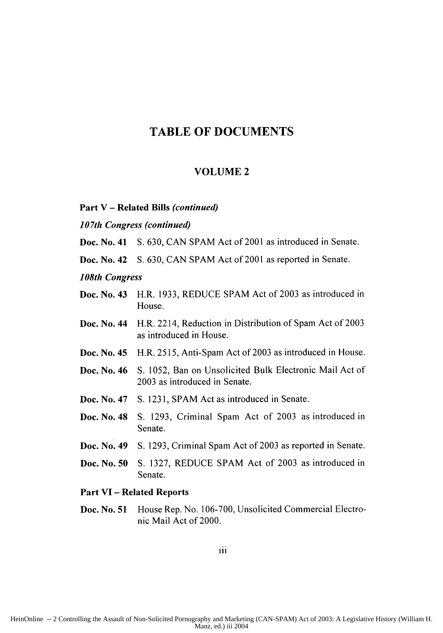### **TABLE OF DOCUMENTS**

#### **VOLUME 2**

**Part V - Related Bills** *(continued)*

*107th Congress (continued)*

**Doc.** No. **41** S. 630, CAN **SPAM** Act of 2001 as introduced in Senate.

**Doc.** No. 42 S. 630, CAN SPAM Act of 2001 as reported in Senate.

*108th Congress*

- **Doc.** No. **43** H.R. 1933, REDUCE SPAM Act of 2003 as introduced in House.
- **Doc.** No. 44 H.R. 2214, Reduction in Distribution of Spam Act of 2003 as introduced in House.
- **Doc.** No. 45 H.R. 2515, Anti-Spam Act of 2003 as introduced in House.
- **Doc.** No. **46 S.** 1052, Ban on Unsolicited Bulk Electronic Mail Act of 2003 as introduced in Senate.
- **Doc.** No. 47 **S.** 123 1, SPAM Act as introduced in Senate.
- **Doc.** No. 48 **S.** 1293, Criminal Spam Act of 2003 as introduced in Senate.
- **Doc.** No. **49 S.** 1293, Criminal Spam Act of 2003 as reported in Senate.
- **Doc.** No. **50 S.** 1327, REDUCE SPAM Act of 2003 as introduced in Senate.

#### **Part VI - Related Reports**

**Doc. No. 51** House Rep. No. **106-700,** Unsolicited Commercial Electronic Mail Act of 2000.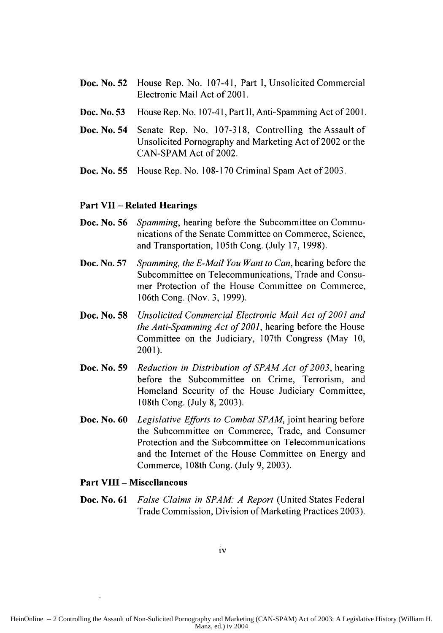- **Doc.** No. **52** House Rep. No. 107-41, Part I, Unsolicited Commercial Electronic Mail Act of 2001.
- **Doc.** No. **53** House Rep. No. 107-4 **1,** Part **11,** Anti-Spamming Act of 2001.
- **Doc.** No. 54 Senate Rep. No. 107-318, Controlling the Assault of Unsolicited Pornography and Marketing Act of 2002 or the CAN-SPAM Act of 2002.
- **Doc.** No. **55** House Rep. No. **108-170** Criminal Spam Act of **2003.**

#### **Part VII - Related Hearings**

- **Doc.** No. **56** *Spamming,* hearing before the Subcommittee on Communications of the Senate Committee on Commerce, Science, and Transportation, 105th Cong. (July 17, 1998).
- **Doc.** No. **57** *Spamming, the E-Mail You Want to Can,* hearing before the Subcommittee on Telecommunications, Trade and Consumer Protection of the House Committee on Commerce, 106th Cong. (Nov. 3, 1999).
- **Doc.** No. **58** *Unsolicited Commercial Electronic Mail Act of 2001 and the Anti-Spamming Act of 2001,* hearing before the House Committee on the Judiciary, 107th Congress (May 10, 2001).
- **Doc.** No. **59** *Reduction in Distribution of SPAM Act of 2003,* hearing before the Subcommittee on Crime, Terrorism, and Homeland Security of the House Judiciary Committee, 108th Cong. (July 8, 2003).
- **Doc.** No. **60** *Legislative Efforts to Combat SPAM,* joint hearing before the Subcommittee on Commerce, Trade, and Consumer Protection and the Subcommittee on Telecommunications and the Internet of the House Committee on Energy and Commerce, 108th Cong. (July 9, 2003).

#### **Part VIII - Miscellaneous**

**Doc.** No. **61** *False Claims in SPAM- A Report* (United States Federal Trade Commission, Division of Marketing Practices **2003).**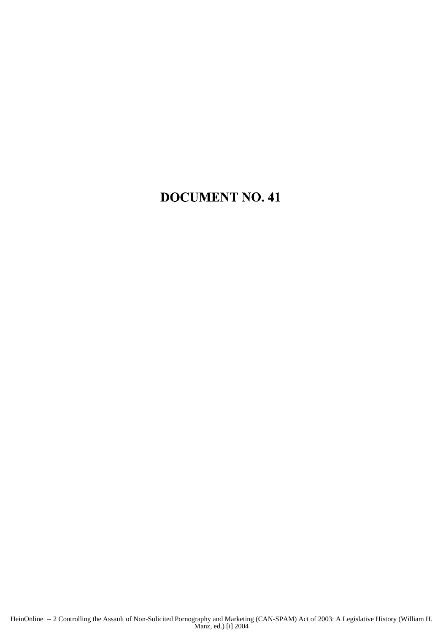## DOCUMENT NO. 41